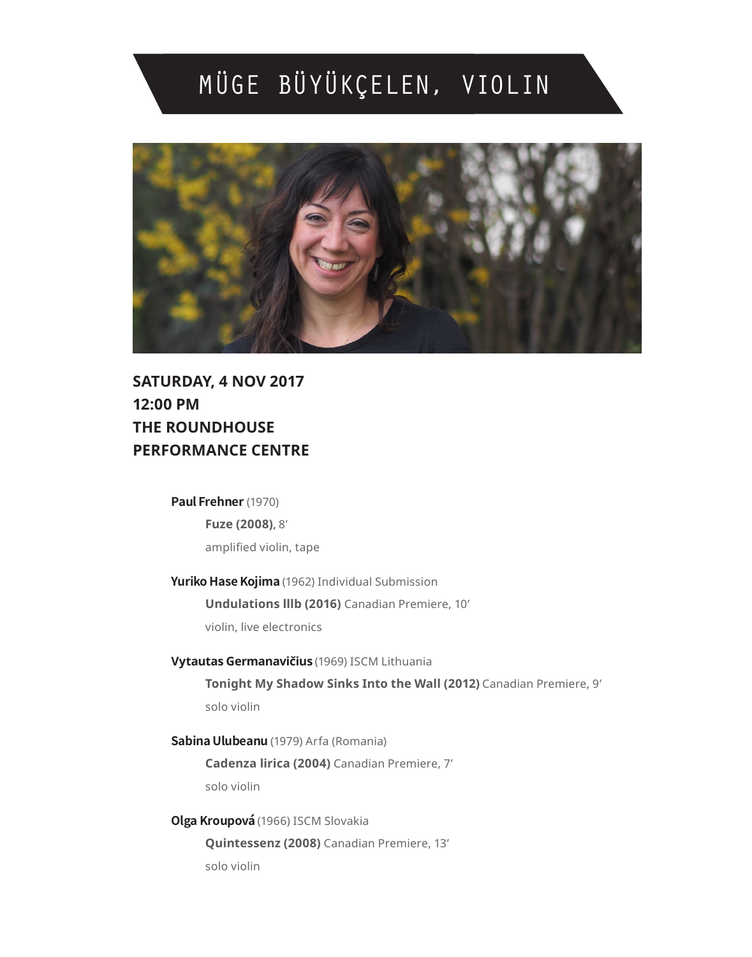# MÜGE BÜYÜKÇELEN, VIOLIN



**SATURDAY, 4 NOV 2017 12:00 PM THE ROUNDHOUSE PERFORMANCE CENTRE**

#### **Paul Frehner** (1970)

**Fuze (2008),** 8' amplified violin, tape

**Yuriko Hase Kojima** (1962) Individual Submission **Undulations lllb (2016)** Canadian Premiere, 10'

violin, live electronics

**Vytautas Germanavičius** (1969) ISCM Lithuania **Tonight My Shadow Sinks Into the Wall (2012)** Canadian Premiere, 9' solo violin

**Sabina Ulubeanu** (1979) Arfa (Romania) **Cadenza lirica (2004)** Canadian Premiere, 7' solo violin

**Olga Kroupová**(1966) ISCM Slovakia **Quintessenz (2008)** Canadian Premiere, 13' solo violin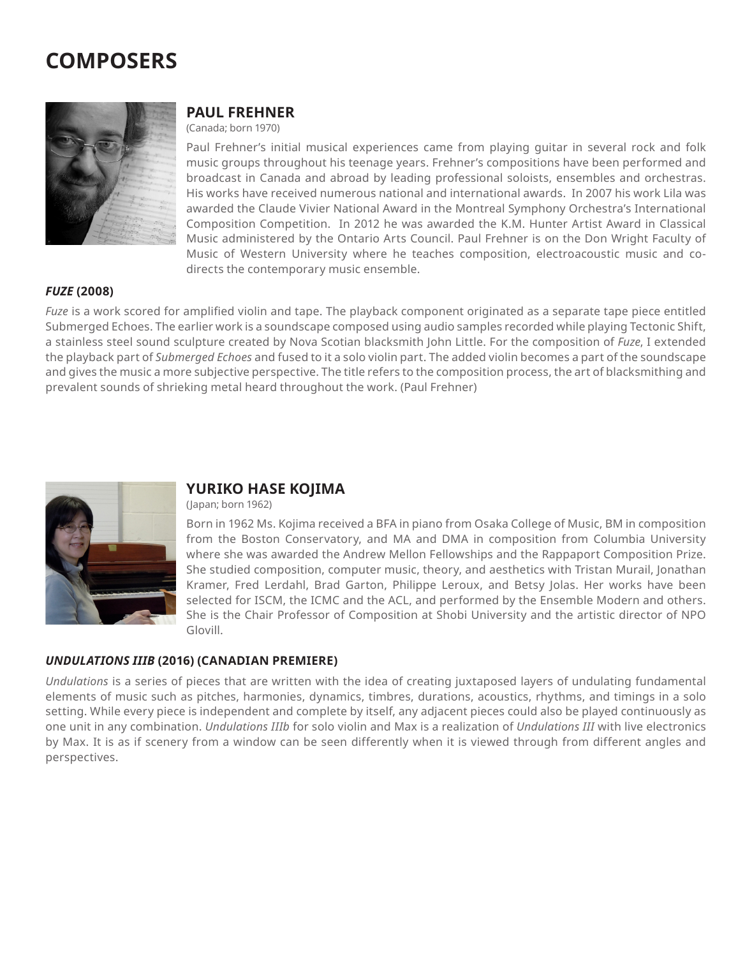# **COMPOSERS**



#### **PAUL FREHNER**

(Canada; born 1970)

Paul Frehner's initial musical experiences came from playing guitar in several rock and folk music groups throughout his teenage years. Frehner's compositions have been performed and broadcast in Canada and abroad by leading professional soloists, ensembles and orchestras. His works have received numerous national and international awards. In 2007 his work Lila was awarded the Claude Vivier National Award in the Montreal Symphony Orchestra's International Composition Competition. In 2012 he was awarded the K.M. Hunter Artist Award in Classical Music administered by the Ontario Arts Council. Paul Frehner is on the Don Wright Faculty of Music of Western University where he teaches composition, electroacoustic music and codirects the contemporary music ensemble.

#### *FUZE* **(2008)**

*Fuze* is a work scored for amplified violin and tape. The playback component originated as a separate tape piece entitled Submerged Echoes. The earlier work is a soundscape composed using audio samples recorded while playing Tectonic Shift, a stainless steel sound sculpture created by Nova Scotian blacksmith John Little. For the composition of *Fuze*, I extended the playback part of *Submerged Echoes* and fused to it a solo violin part. The added violin becomes a part of the soundscape and gives the music a more subjective perspective. The title refers to the composition process, the art of blacksmithing and prevalent sounds of shrieking metal heard throughout the work. (Paul Frehner)



#### **YURIKO HASE KOJIMA**

(Japan; born 1962)

Born in 1962 Ms. Kojima received a BFA in piano from Osaka College of Music, BM in composition from the Boston Conservatory, and MA and DMA in composition from Columbia University where she was awarded the Andrew Mellon Fellowships and the Rappaport Composition Prize. She studied composition, computer music, theory, and aesthetics with Tristan Murail, Jonathan Kramer, Fred Lerdahl, Brad Garton, Philippe Leroux, and Betsy Jolas. Her works have been selected for ISCM, the ICMC and the ACL, and performed by the Ensemble Modern and others. She is the Chair Professor of Composition at Shobi University and the artistic director of NPO Glovill.

#### *UNDULATIONS IIIB* **(2016) (CANADIAN PREMIERE)**

*Undulations* is a series of pieces that are written with the idea of creating juxtaposed layers of undulating fundamental elements of music such as pitches, harmonies, dynamics, timbres, durations, acoustics, rhythms, and timings in a solo setting. While every piece is independent and complete by itself, any adjacent pieces could also be played continuously as one unit in any combination. *Undulations IIIb* for solo violin and Max is a realization of *Undulations III* with live electronics by Max. It is as if scenery from a window can be seen differently when it is viewed through from different angles and perspectives.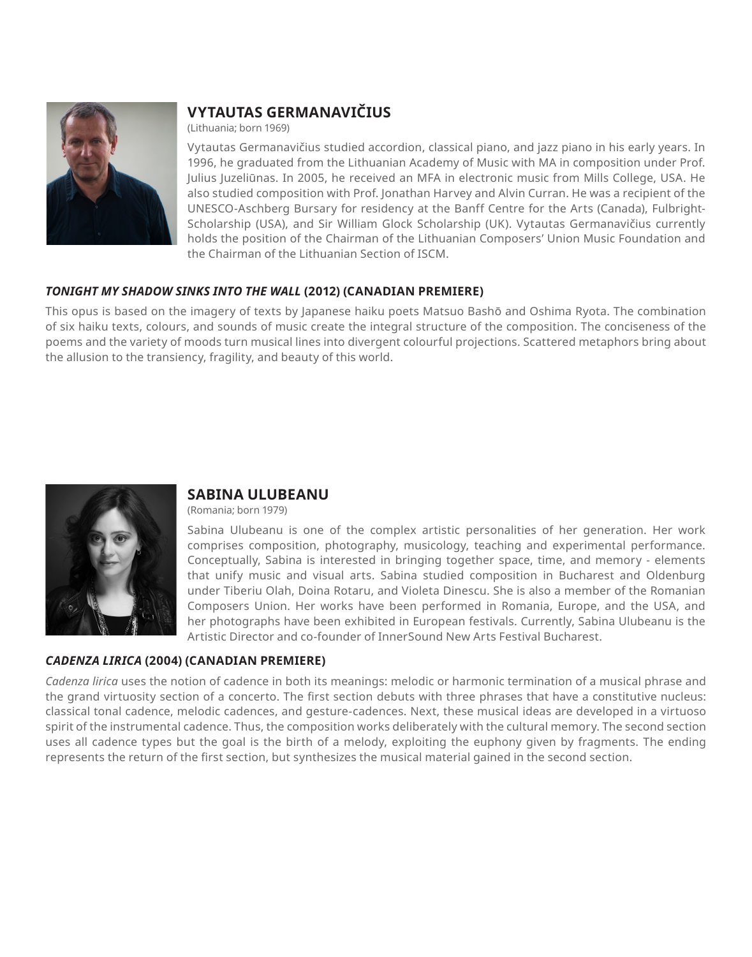

### **VYTAUTAS GERMANAVIČIUS**

(Lithuania; born 1969)

Vytautas Germanavičius studied accordion, classical piano, and jazz piano in his early years. In 1996, he graduated from the Lithuanian Academy of Music with MA in composition under Prof. Julius Juzeliūnas. In 2005, he received an MFA in electronic music from Mills College, USA. He also studied composition with Prof. Jonathan Harvey and Alvin Curran. He was a recipient of the UNESCO-Aschberg Bursary for residency at the Banff Centre for the Arts (Canada), Fulbright-Scholarship (USA), and Sir William Glock Scholarship (UK). Vytautas Germanavičius currently holds the position of the Chairman of the Lithuanian Composers' Union Music Foundation and the Chairman of the Lithuanian Section of ISCM.

#### *TONIGHT MY SHADOW SINKS INTO THE WALL* **(2012) (CANADIAN PREMIERE)**

This opus is based on the imagery of texts by Japanese haiku poets Matsuo Bashō and Oshima Ryota. The combination of six haiku texts, colours, and sounds of music create the integral structure of the composition. The conciseness of the poems and the variety of moods turn musical lines into divergent colourful projections. Scattered metaphors bring about the allusion to the transiency, fragility, and beauty of this world.



### **SABINA ULUBEANU**

(Romania; born 1979)

Sabina Ulubeanu is one of the complex artistic personalities of her generation. Her work comprises composition, photography, musicology, teaching and experimental performance. Conceptually, Sabina is interested in bringing together space, time, and memory - elements that unify music and visual arts. Sabina studied composition in Bucharest and Oldenburg under Tiberiu Olah, Doina Rotaru, and Violeta Dinescu. She is also a member of the Romanian Composers Union. Her works have been performed in Romania, Europe, and the USA, and her photographs have been exhibited in European festivals. Currently, Sabina Ulubeanu is the Artistic Director and co-founder of InnerSound New Arts Festival Bucharest.

#### *CADENZA LIRICA* **(2004) (CANADIAN PREMIERE)**

*Cadenza lirica* uses the notion of cadence in both its meanings: melodic or harmonic termination of a musical phrase and the grand virtuosity section of a concerto. The first section debuts with three phrases that have a constitutive nucleus: classical tonal cadence, melodic cadences, and gesture-cadences. Next, these musical ideas are developed in a virtuoso spirit of the instrumental cadence. Thus, the composition works deliberately with the cultural memory. The second section uses all cadence types but the goal is the birth of a melody, exploiting the euphony given by fragments. The ending represents the return of the first section, but synthesizes the musical material gained in the second section.